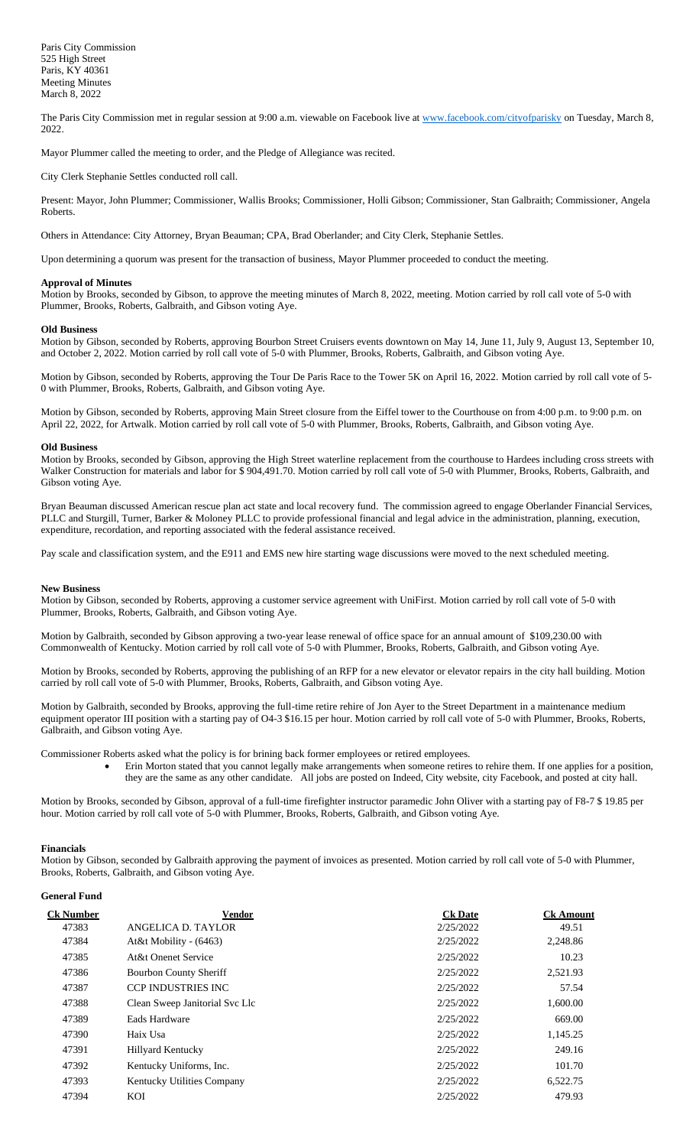The Paris City Commission met in regular session at 9:00 a.m. viewable on Facebook live a[t www.facebook.com/cityofparisky](http://www.facebook.com/cityofparisky) on Tuesday, March 8, 2022.

Mayor Plummer called the meeting to order, and the Pledge of Allegiance was recited.

City Clerk Stephanie Settles conducted roll call.

Present: Mayor, John Plummer; Commissioner, Wallis Brooks; Commissioner, Holli Gibson; Commissioner, Stan Galbraith; Commissioner, Angela Roberts.

Others in Attendance: City Attorney, Bryan Beauman; CPA, Brad Oberlander; and City Clerk, Stephanie Settles.

Upon determining a quorum was present for the transaction of business, Mayor Plummer proceeded to conduct the meeting.

## **Approval of Minutes**

Motion by Brooks, seconded by Gibson, to approve the meeting minutes of March 8, 2022, meeting. Motion carried by roll call vote of 5-0 with Plummer, Brooks, Roberts, Galbraith, and Gibson voting Aye.

#### **Old Business**

Motion by Gibson, seconded by Roberts, approving Bourbon Street Cruisers events downtown on May 14, June 11, July 9, August 13, September 10, and October 2, 2022. Motion carried by roll call vote of 5-0 with Plummer, Brooks, Roberts, Galbraith, and Gibson voting Aye.

Motion by Gibson, seconded by Roberts, approving the Tour De Paris Race to the Tower 5K on April 16, 2022. Motion carried by roll call vote of 5- 0 with Plummer, Brooks, Roberts, Galbraith, and Gibson voting Aye.

Motion by Gibson, seconded by Roberts, approving Main Street closure from the Eiffel tower to the Courthouse on from 4:00 p.m. to 9:00 p.m. on April 22, 2022, for Artwalk. Motion carried by roll call vote of 5-0 with Plummer, Brooks, Roberts, Galbraith, and Gibson voting Aye.

## **Old Business**

Motion by Brooks, seconded by Gibson, approving the High Street waterline replacement from the courthouse to Hardees including cross streets with Walker Construction for materials and labor for \$ 904,491.70. Motion carried by roll call vote of 5-0 with Plummer, Brooks, Roberts, Galbraith, and Gibson voting Aye.

Bryan Beauman discussed American rescue plan act state and local recovery fund. The commission agreed to engage Oberlander Financial Services, PLLC and Sturgill, Turner, Barker & Moloney PLLC to provide professional financial and legal advice in the administration, planning, execution, expenditure, recordation, and reporting associated with the federal assistance received.

Pay scale and classification system, and the E911 and EMS new hire starting wage discussions were moved to the next scheduled meeting.

#### **New Business**

Motion by Gibson, seconded by Roberts, approving a customer service agreement with UniFirst. Motion carried by roll call vote of 5-0 with Plummer, Brooks, Roberts, Galbraith, and Gibson voting Aye.

Motion by Galbraith, seconded by Gibson approving a two-year lease renewal of office space for an annual amount of \$109,230.00 with Commonwealth of Kentucky. Motion carried by roll call vote of 5-0 with Plummer, Brooks, Roberts, Galbraith, and Gibson voting Aye.

Motion by Brooks, seconded by Roberts, approving the publishing of an RFP for a new elevator or elevator repairs in the city hall building. Motion carried by roll call vote of 5-0 with Plummer, Brooks, Roberts, Galbraith, and Gibson voting Aye.

Motion by Galbraith, seconded by Brooks, approving the full-time retire rehire of Jon Ayer to the Street Department in a maintenance medium equipment operator III position with a starting pay of O4-3 \$16.15 per hour. Motion carried by roll call vote of 5-0 with Plummer, Brooks, Roberts, Galbraith, and Gibson voting Aye.

Commissioner Roberts asked what the policy is for brining back former employees or retired employees.

• Erin Morton stated that you cannot legally make arrangements when someone retires to rehire them. If one applies for a position, they are the same as any other candidate. All jobs are posted on Indeed, City website, city Facebook, and posted at city hall.

Motion by Brooks, seconded by Gibson, approval of a full-time firefighter instructor paramedic John Oliver with a starting pay of F8-7 \$ 19.85 per hour. Motion carried by roll call vote of 5-0 with Plummer, Brooks, Roberts, Galbraith, and Gibson voting Aye.

#### **Financials**

Motion by Gibson, seconded by Galbraith approving the payment of invoices as presented. Motion carried by roll call vote of 5-0 with Plummer, Brooks, Roberts, Galbraith, and Gibson voting Aye.

# **General Fund**

| <u>Ck Number</u> | <b>Vendor</b>                     | <b>Ck Date</b> | <b>Ck Amount</b> |
|------------------|-----------------------------------|----------------|------------------|
| 47383            | ANGELICA D. TAYLOR                | 2/25/2022      | 49.51            |
| 47384            | At&t Mobility - (6463)            | 2/25/2022      | 2,248.86         |
| 47385            | At&t Onenet Service               | 2/25/2022      | 10.23            |
| 47386            | <b>Bourbon County Sheriff</b>     | 2/25/2022      | 2,521.93         |
| 47387            | <b>CCP INDUSTRIES INC</b>         | 2/25/2022      | 57.54            |
| 47388            | Clean Sweep Janitorial Svc Llc    | 2/25/2022      | 1,600.00         |
| 47389            | Eads Hardware                     | 2/25/2022      | 669.00           |
| 47390            | Haix Usa                          | 2/25/2022      | 1,145.25         |
| 47391            | Hillyard Kentucky                 | 2/25/2022      | 249.16           |
| 47392            | Kentucky Uniforms, Inc.           | 2/25/2022      | 101.70           |
| 47393            | <b>Kentucky Utilities Company</b> | 2/25/2022      | 6,522.75         |
| 47394            | KOI                               | 2/25/2022      | 479.93           |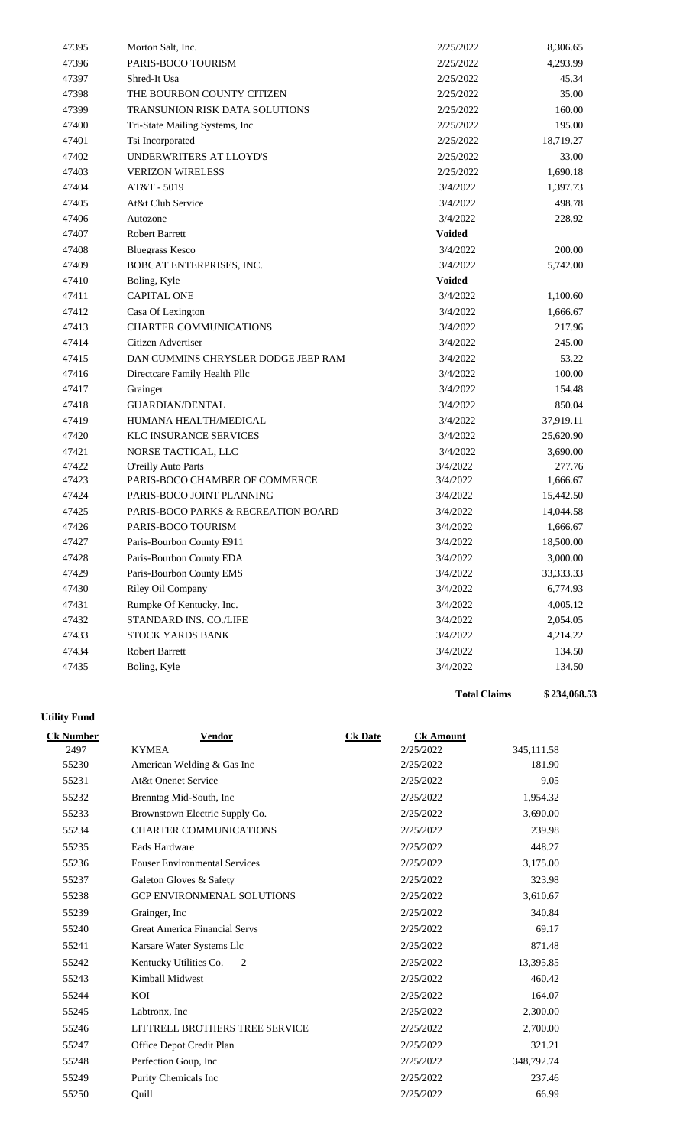| 47395 | Morton Salt, Inc.                   | 2/25/2022     | 8,306.65  |
|-------|-------------------------------------|---------------|-----------|
| 47396 | PARIS-BOCO TOURISM                  | 2/25/2022     | 4,293.99  |
| 47397 | Shred-It Usa                        | 2/25/2022     | 45.34     |
| 47398 | THE BOURBON COUNTY CITIZEN          | 2/25/2022     | 35.00     |
| 47399 | TRANSUNION RISK DATA SOLUTIONS      | 2/25/2022     | 160.00    |
| 47400 | Tri-State Mailing Systems, Inc      | 2/25/2022     | 195.00    |
| 47401 | Tsi Incorporated                    | 2/25/2022     | 18,719.27 |
| 47402 | UNDERWRITERS AT LLOYD'S             | 2/25/2022     | 33.00     |
| 47403 | <b>VERIZON WIRELESS</b>             | 2/25/2022     | 1,690.18  |
| 47404 | AT&T - 5019                         | 3/4/2022      | 1,397.73  |
| 47405 | At&t Club Service                   | 3/4/2022      | 498.78    |
| 47406 | Autozone                            | 3/4/2022      | 228.92    |
| 47407 | <b>Robert Barrett</b>               | <b>Voided</b> |           |
| 47408 | <b>Bluegrass Kesco</b>              | 3/4/2022      | 200.00    |
| 47409 | BOBCAT ENTERPRISES, INC.            | 3/4/2022      | 5,742.00  |
| 47410 | Boling, Kyle                        | <b>Voided</b> |           |
| 47411 | <b>CAPITAL ONE</b>                  | 3/4/2022      | 1,100.60  |
| 47412 | Casa Of Lexington                   | 3/4/2022      | 1,666.67  |
| 47413 | <b>CHARTER COMMUNICATIONS</b>       | 3/4/2022      | 217.96    |
| 47414 | Citizen Advertiser                  | 3/4/2022      | 245.00    |
| 47415 | DAN CUMMINS CHRYSLER DODGE JEEP RAM | 3/4/2022      | 53.22     |
| 47416 | Directcare Family Health Pllc       | 3/4/2022      | 100.00    |
| 47417 | Grainger                            | 3/4/2022      | 154.48    |
| 47418 | <b>GUARDIAN/DENTAL</b>              | 3/4/2022      | 850.04    |
| 47419 | HUMANA HEALTH/MEDICAL               | 3/4/2022      | 37,919.11 |
| 47420 | <b>KLC INSURANCE SERVICES</b>       | 3/4/2022      | 25,620.90 |
| 47421 | NORSE TACTICAL, LLC                 | 3/4/2022      | 3,690.00  |
| 47422 | <b>O'reilly Auto Parts</b>          | 3/4/2022      | 277.76    |
| 47423 | PARIS-BOCO CHAMBER OF COMMERCE      | 3/4/2022      | 1,666.67  |
| 47424 | PARIS-BOCO JOINT PLANNING           | 3/4/2022      | 15,442.50 |
| 47425 | PARIS-BOCO PARKS & RECREATION BOARD | 3/4/2022      | 14,044.58 |
| 47426 | PARIS-BOCO TOURISM                  | 3/4/2022      | 1,666.67  |
| 47427 | Paris-Bourbon County E911           | 3/4/2022      | 18,500.00 |
| 47428 | Paris-Bourbon County EDA            | 3/4/2022      | 3,000.00  |
| 47429 | Paris-Bourbon County EMS            | 3/4/2022      | 33,333.33 |
| 47430 | Riley Oil Company                   | 3/4/2022      | 6,774.93  |
| 47431 | Rumpke Of Kentucky, Inc.            | 3/4/2022      | 4,005.12  |
| 47432 | STANDARD INS. CO./LIFE              | 3/4/2022      | 2,054.05  |
| 47433 | STOCK YARDS BANK                    | 3/4/2022      | 4,214.22  |
| 47434 | Robert Barrett                      | 3/4/2022      | 134.50    |
| 47435 | Boling, Kyle                        | 3/4/2022      | 134.50    |
|       |                                     |               |           |

# **Utility Fund**

| <b>Ck Number</b> | <b>Vendor</b>                        | <b>Ck Date</b> | <b>Ck Amount</b> |            |
|------------------|--------------------------------------|----------------|------------------|------------|
| 2497             | <b>KYMEA</b>                         |                | 2/25/2022        | 345,111.58 |
| 55230            | American Welding & Gas Inc           |                | 2/25/2022        | 181.90     |
| 55231            | At&t Onenet Service                  |                | 2/25/2022        | 9.05       |
| 55232            | Brenntag Mid-South, Inc.             |                | 2/25/2022        | 1,954.32   |
| 55233            | Brownstown Electric Supply Co.       |                | 2/25/2022        | 3,690.00   |
| 55234            | CHARTER COMMUNICATIONS               |                | 2/25/2022        | 239.98     |
| 55235            | Eads Hardware                        |                | 2/25/2022        | 448.27     |
| 55236            | <b>Fouser Environmental Services</b> |                | 2/25/2022        | 3,175.00   |
| 55237            | Galeton Gloves & Safety              |                | 2/25/2022        | 323.98     |
| 55238            | <b>GCP ENVIRONMENAL SOLUTIONS</b>    |                | 2/25/2022        | 3,610.67   |
| 55239            | Grainger, Inc.                       |                | 2/25/2022        | 340.84     |
| 55240            | Great America Financial Servs        |                | 2/25/2022        | 69.17      |
| 55241            | Karsare Water Systems Llc            |                | 2/25/2022        | 871.48     |
| 55242            | Kentucky Utilities Co.<br>2          |                | 2/25/2022        | 13,395.85  |
| 55243            | Kimball Midwest                      |                | 2/25/2022        | 460.42     |
| 55244            | KOI                                  |                | 2/25/2022        | 164.07     |
| 55245            | Labtronx, Inc.                       |                | 2/25/2022        | 2,300.00   |
| 55246            | LITTRELL BROTHERS TREE SERVICE       |                | 2/25/2022        | 2,700.00   |
| 55247            | Office Depot Credit Plan             |                | 2/25/2022        | 321.21     |
| 55248            | Perfection Goup, Inc                 |                | 2/25/2022        | 348,792.74 |
| 55249            | Purity Chemicals Inc                 |                | 2/25/2022        | 237.46     |
| 55250            | Ouill                                |                | 2/25/2022        | 66.99      |

**Total Claims \$ 234,068.53**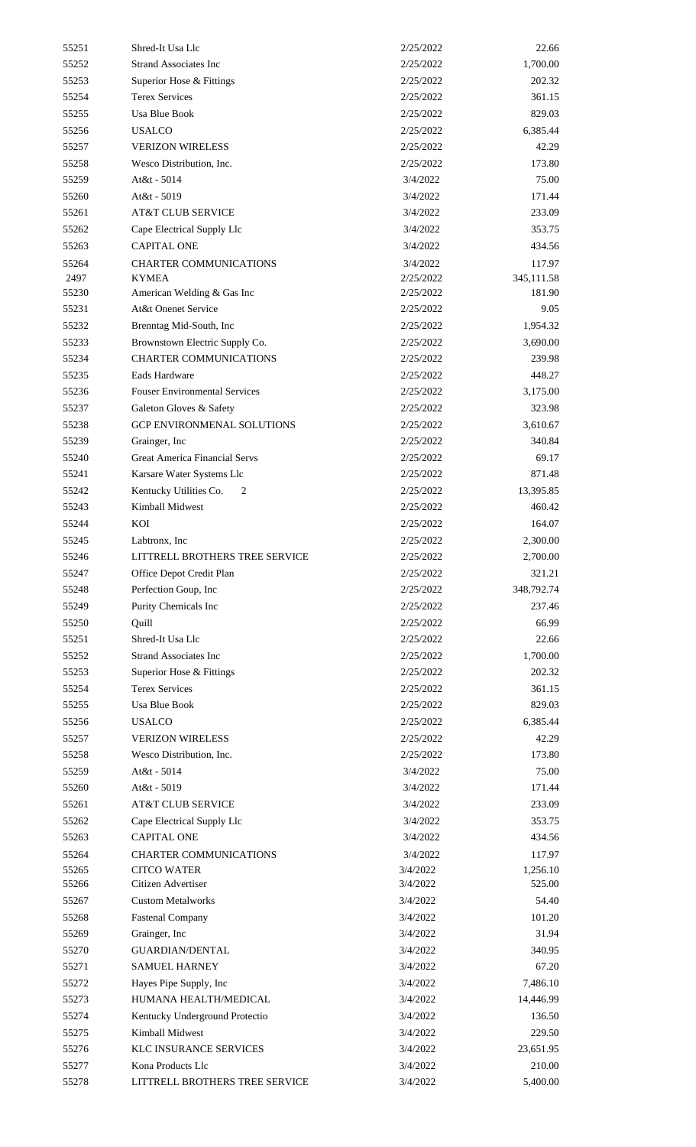| 55251          | Shred-It Usa Llc                                  | 2/25/2022 | 22.66             |
|----------------|---------------------------------------------------|-----------|-------------------|
| 55252          | <b>Strand Associates Inc</b>                      | 2/25/2022 | 1,700.00          |
| 55253          | Superior Hose & Fittings                          | 2/25/2022 | 202.32            |
| 55254          | <b>Terex Services</b>                             | 2/25/2022 | 361.15            |
| 55255          | <b>Usa Blue Book</b>                              | 2/25/2022 | 829.03            |
| 55256          | <b>USALCO</b>                                     | 2/25/2022 | 6,385.44          |
| 55257          | <b>VERIZON WIRELESS</b>                           | 2/25/2022 | 42.29             |
| 55258          | Wesco Distribution, Inc.                          | 2/25/2022 | 173.80            |
| 55259          | At&t - 5014                                       | 3/4/2022  | 75.00             |
| 55260          | At&t - 5019                                       | 3/4/2022  | 171.44            |
| 55261          | <b>AT&amp;T CLUB SERVICE</b>                      | 3/4/2022  | 233.09            |
| 55262          | Cape Electrical Supply Llc                        | 3/4/2022  | 353.75            |
| 55263          | <b>CAPITAL ONE</b>                                | 3/4/2022  | 434.56            |
| 55264          | <b>CHARTER COMMUNICATIONS</b>                     | 3/4/2022  | 117.97            |
| 2497           | <b>KYMEA</b>                                      | 2/25/2022 | 345,111.58        |
| 55230          | American Welding & Gas Inc                        | 2/25/2022 | 181.90            |
| 55231          | At&t Onenet Service                               | 2/25/2022 | 9.05              |
| 55232          | Brenntag Mid-South, Inc                           | 2/25/2022 | 1,954.32          |
| 55233          | Brownstown Electric Supply Co.                    | 2/25/2022 | 3,690.00          |
| 55234          | <b>CHARTER COMMUNICATIONS</b>                     | 2/25/2022 | 239.98            |
| 55235          | Eads Hardware                                     | 2/25/2022 | 448.27            |
| 55236          | <b>Fouser Environmental Services</b>              | 2/25/2022 | 3,175.00          |
| 55237          | Galeton Gloves & Safety                           | 2/25/2022 | 323.98            |
| 55238          | GCP ENVIRONMENAL SOLUTIONS                        | 2/25/2022 | 3,610.67          |
| 55239          | Grainger, Inc.                                    | 2/25/2022 | 340.84            |
| 55240          | Great America Financial Servs                     | 2/25/2022 | 69.17             |
| 55241          | Karsare Water Systems Llc                         | 2/25/2022 | 871.48            |
| 55242          | Kentucky Utilities Co.<br>2                       | 2/25/2022 | 13,395.85         |
| 55243          | Kimball Midwest                                   | 2/25/2022 | 460.42            |
| 55244          | KOI                                               | 2/25/2022 | 164.07            |
| 55245          | Labtronx, Inc.                                    | 2/25/2022 | 2,300.00          |
| 55246          | LITTRELL BROTHERS TREE SERVICE                    | 2/25/2022 | 2,700.00          |
| 55247          | Office Depot Credit Plan                          | 2/25/2022 | 321.21            |
| 55248          | Perfection Goup, Inc                              | 2/25/2022 | 348,792.74        |
| 55249          | Purity Chemicals Inc                              | 2/25/2022 | 237.46            |
| 55250          | Quill                                             | 2/25/2022 | 66.99             |
| 55251          | Shred-It Usa Llc                                  | 2/25/2022 | 22.66             |
| 55252          | <b>Strand Associates Inc</b>                      | 2/25/2022 | 1,700.00          |
| 55253          |                                                   | 2/25/2022 | 202.32            |
| 55254          | Superior Hose & Fittings<br><b>Terex Services</b> | 2/25/2022 | 361.15            |
| 55255          | <b>Usa Blue Book</b>                              | 2/25/2022 | 829.03            |
|                | <b>USALCO</b>                                     | 2/25/2022 |                   |
| 55256<br>55257 | <b>VERIZON WIRELESS</b>                           | 2/25/2022 | 6,385.44<br>42.29 |
|                |                                                   |           | 173.80            |
| 55258          | Wesco Distribution, Inc.                          | 2/25/2022 |                   |
| 55259          | At&t - 5014                                       | 3/4/2022  | 75.00             |
| 55260          | At&t - 5019                                       | 3/4/2022  | 171.44            |
| 55261          | <b>AT&amp;T CLUB SERVICE</b>                      | 3/4/2022  | 233.09            |
| 55262          | Cape Electrical Supply Llc                        | 3/4/2022  | 353.75            |
| 55263          | <b>CAPITAL ONE</b>                                | 3/4/2022  | 434.56            |
| 55264          | <b>CHARTER COMMUNICATIONS</b>                     | 3/4/2022  | 117.97            |
| 55265          | <b>CITCO WATER</b><br>Citizen Advertiser          | 3/4/2022  | 1,256.10          |
| 55266          |                                                   | 3/4/2022  | 525.00            |
| 55267          | <b>Custom Metalworks</b>                          | 3/4/2022  | 54.40             |
| 55268          | <b>Fastenal Company</b>                           | 3/4/2022  | 101.20            |
| 55269          | Grainger, Inc.                                    | 3/4/2022  | 31.94             |
| 55270          | <b>GUARDIAN/DENTAL</b>                            | 3/4/2022  | 340.95            |
| 55271          | <b>SAMUEL HARNEY</b>                              | 3/4/2022  | 67.20             |
| 55272          | Hayes Pipe Supply, Inc                            | 3/4/2022  | 7,486.10          |
| 55273          | HUMANA HEALTH/MEDICAL                             | 3/4/2022  | 14,446.99         |
| 55274          | Kentucky Underground Protectio                    | 3/4/2022  | 136.50            |
| 55275          | Kimball Midwest                                   | 3/4/2022  | 229.50            |
| 55276          | <b>KLC INSURANCE SERVICES</b>                     | 3/4/2022  | 23,651.95         |
| 55277          | Kona Products Llc                                 | 3/4/2022  | 210.00            |
| 55278          | LITTRELL BROTHERS TREE SERVICE                    | 3/4/2022  | 5,400.00          |